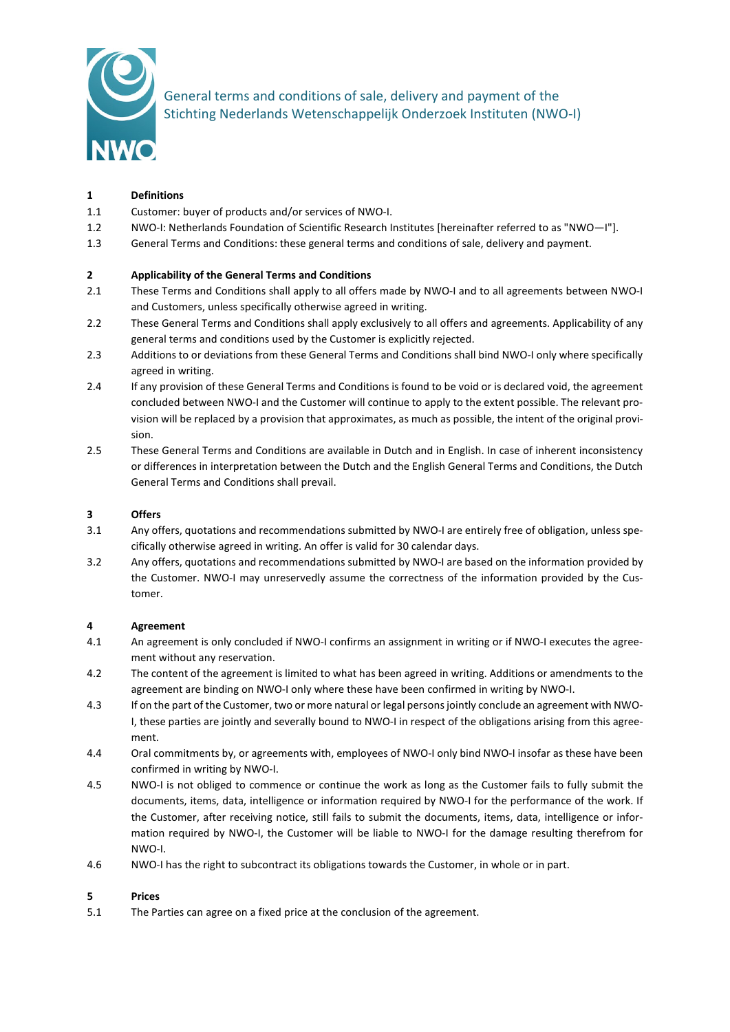

General terms and conditions of sale, delivery and payment of the Stichting Nederlands Wetenschappelijk Onderzoek Instituten (NWO-I)

# **1 Definitions**

- 1.1 Customer: buyer of products and/or services of NWO-I.
- 1.2 NWO-I: Netherlands Foundation of Scientific Research Institutes [hereinafter referred to as "NWO—I"].
- 1.3 General Terms and Conditions: these general terms and conditions of sale, delivery and payment.

## **2 Applicability of the General Terms and Conditions**

- 2.1 These Terms and Conditions shall apply to all offers made by NWO-I and to all agreements between NWO-I and Customers, unless specifically otherwise agreed in writing.
- 2.2 These General Terms and Conditions shall apply exclusively to all offers and agreements. Applicability of any general terms and conditions used by the Customer is explicitly rejected.
- 2.3 Additions to or deviations from these General Terms and Conditions shall bind NWO-I only where specifically agreed in writing.
- 2.4 If any provision of these General Terms and Conditions is found to be void or is declared void, the agreement concluded between NWO-I and the Customer will continue to apply to the extent possible. The relevant provision will be replaced by a provision that approximates, as much as possible, the intent of the original provision.
- 2.5 These General Terms and Conditions are available in Dutch and in English. In case of inherent inconsistency or differences in interpretation between the Dutch and the English General Terms and Conditions, the Dutch General Terms and Conditions shall prevail.

## **3 Offers**

- 3.1 Any offers, quotations and recommendations submitted by NWO-I are entirely free of obligation, unless specifically otherwise agreed in writing. An offer is valid for 30 calendar days.
- 3.2 Any offers, quotations and recommendations submitted by NWO-I are based on the information provided by the Customer. NWO-I may unreservedly assume the correctness of the information provided by the Customer.

#### **4 Agreement**

- 4.1 An agreement is only concluded if NWO-I confirms an assignment in writing or if NWO-I executes the agreement without any reservation.
- 4.2 The content of the agreement is limited to what has been agreed in writing. Additions or amendments to the agreement are binding on NWO-I only where these have been confirmed in writing by NWO-I.
- 4.3 If on the part of the Customer, two or more natural or legal persons jointly conclude an agreement with NWO-I, these parties are jointly and severally bound to NWO-I in respect of the obligations arising from this agreement.
- 4.4 Oral commitments by, or agreements with, employees of NWO-I only bind NWO-I insofar as these have been confirmed in writing by NWO-I.
- 4.5 NWO-I is not obliged to commence or continue the work as long as the Customer fails to fully submit the documents, items, data, intelligence or information required by NWO-I for the performance of the work. If the Customer, after receiving notice, still fails to submit the documents, items, data, intelligence or information required by NWO-I, the Customer will be liable to NWO-I for the damage resulting therefrom for NWO-I.
- 4.6 NWO-I has the right to subcontract its obligations towards the Customer, in whole or in part.

#### **5 Prices**

5.1 The Parties can agree on a fixed price at the conclusion of the agreement.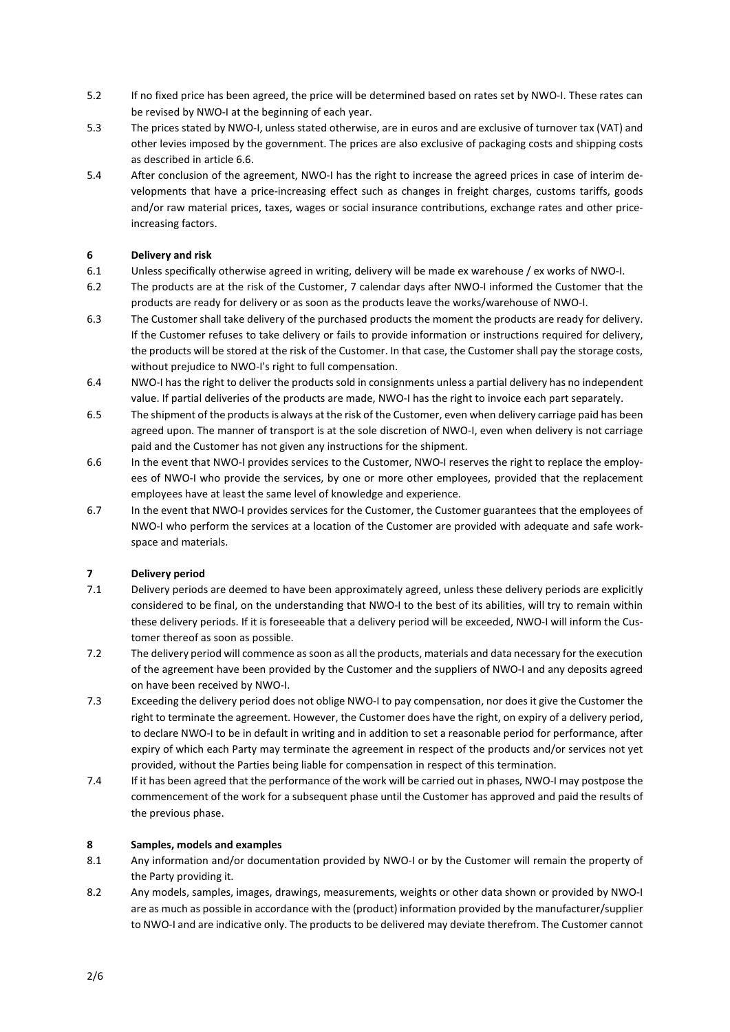- 5.2 If no fixed price has been agreed, the price will be determined based on rates set by NWO-I. These rates can be revised by NWO-I at the beginning of each year.
- 5.3 The prices stated by NWO-I, unless stated otherwise, are in euros and are exclusive of turnover tax (VAT) and other levies imposed by the government. The prices are also exclusive of packaging costs and shipping costs as described in article 6.6.
- 5.4 After conclusion of the agreement, NWO-I has the right to increase the agreed prices in case of interim developments that have a price-increasing effect such as changes in freight charges, customs tariffs, goods and/or raw material prices, taxes, wages or social insurance contributions, exchange rates and other priceincreasing factors.

# **6 Delivery and risk**

- 6.1 Unless specifically otherwise agreed in writing, delivery will be made ex warehouse / ex works of NWO-I.
- 6.2 The products are at the risk of the Customer, 7 calendar days after NWO-I informed the Customer that the products are ready for delivery or as soon as the products leave the works/warehouse of NWO-I.
- 6.3 The Customer shall take delivery of the purchased products the moment the products are ready for delivery. If the Customer refuses to take delivery or fails to provide information or instructions required for delivery, the products will be stored at the risk of the Customer. In that case, the Customer shall pay the storage costs, without prejudice to NWO-I's right to full compensation.
- 6.4 NWO-I has the right to deliver the products sold in consignments unless a partial delivery has no independent value. If partial deliveries of the products are made, NWO-I has the right to invoice each part separately.
- 6.5 The shipment of the products is always at the risk of the Customer, even when delivery carriage paid has been agreed upon. The manner of transport is at the sole discretion of NWO-I, even when delivery is not carriage paid and the Customer has not given any instructions for the shipment.
- 6.6 In the event that NWO-I provides services to the Customer, NWO-I reserves the right to replace the employees of NWO-I who provide the services, by one or more other employees, provided that the replacement employees have at least the same level of knowledge and experience.
- 6.7 In the event that NWO-I provides services for the Customer, the Customer guarantees that the employees of NWO-I who perform the services at a location of the Customer are provided with adequate and safe workspace and materials.

# **7 Delivery period**

- 7.1 Delivery periods are deemed to have been approximately agreed, unless these delivery periods are explicitly considered to be final, on the understanding that NWO-I to the best of its abilities, will try to remain within these delivery periods. If it is foreseeable that a delivery period will be exceeded, NWO-I will inform the Customer thereof as soon as possible.
- 7.2 The delivery period will commence as soon as all the products, materials and data necessary for the execution of the agreement have been provided by the Customer and the suppliers of NWO-I and any deposits agreed on have been received by NWO-I.
- 7.3 Exceeding the delivery period does not oblige NWO-I to pay compensation, nor does it give the Customer the right to terminate the agreement. However, the Customer does have the right, on expiry of a delivery period, to declare NWO-I to be in default in writing and in addition to set a reasonable period for performance, after expiry of which each Party may terminate the agreement in respect of the products and/or services not yet provided, without the Parties being liable for compensation in respect of this termination.
- 7.4 If it has been agreed that the performance of the work will be carried out in phases, NWO-I may postpose the commencement of the work for a subsequent phase until the Customer has approved and paid the results of the previous phase.

#### **8 Samples, models and examples**

- 8.1 Any information and/or documentation provided by NWO-I or by the Customer will remain the property of the Party providing it.
- 8.2 Any models, samples, images, drawings, measurements, weights or other data shown or provided by NWO-I are as much as possible in accordance with the (product) information provided by the manufacturer/supplier to NWO-I and are indicative only. The products to be delivered may deviate therefrom. The Customer cannot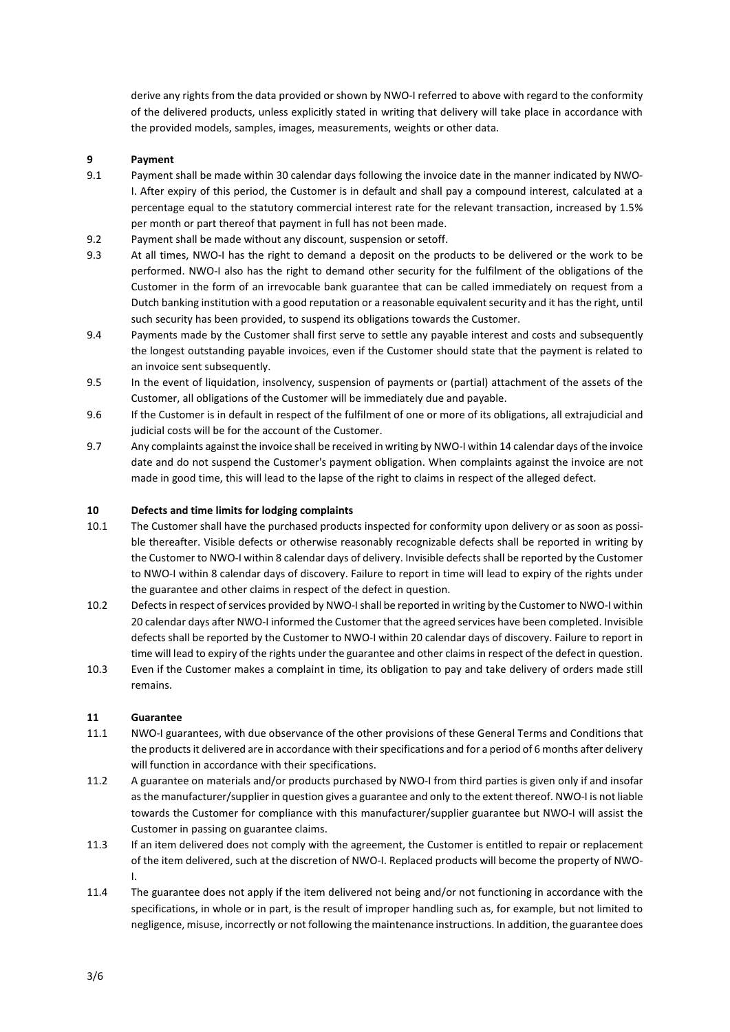derive any rights from the data provided or shown by NWO-I referred to above with regard to the conformity of the delivered products, unless explicitly stated in writing that delivery will take place in accordance with the provided models, samples, images, measurements, weights or other data.

#### **9 Payment**

- 9.1 Payment shall be made within 30 calendar days following the invoice date in the manner indicated by NWO-I. After expiry of this period, the Customer is in default and shall pay a compound interest, calculated at a percentage equal to the statutory commercial interest rate for the relevant transaction, increased by 1.5% per month or part thereof that payment in full has not been made.
- 9.2 Payment shall be made without any discount, suspension or setoff.
- 9.3 At all times, NWO-I has the right to demand a deposit on the products to be delivered or the work to be performed. NWO-I also has the right to demand other security for the fulfilment of the obligations of the Customer in the form of an irrevocable bank guarantee that can be called immediately on request from a Dutch banking institution with a good reputation or a reasonable equivalent security and it has the right, until such security has been provided, to suspend its obligations towards the Customer.
- 9.4 Payments made by the Customer shall first serve to settle any payable interest and costs and subsequently the longest outstanding payable invoices, even if the Customer should state that the payment is related to an invoice sent subsequently.
- 9.5 In the event of liquidation, insolvency, suspension of payments or (partial) attachment of the assets of the Customer, all obligations of the Customer will be immediately due and payable.
- 9.6 If the Customer is in default in respect of the fulfilment of one or more of its obligations, all extrajudicial and judicial costs will be for the account of the Customer.
- 9.7 Any complaints against the invoice shall be received in writing by NWO-I within 14 calendar days of the invoice date and do not suspend the Customer's payment obligation. When complaints against the invoice are not made in good time, this will lead to the lapse of the right to claims in respect of the alleged defect.

## **10 Defects and time limits for lodging complaints**

- 10.1 The Customer shall have the purchased products inspected for conformity upon delivery or as soon as possible thereafter. Visible defects or otherwise reasonably recognizable defects shall be reported in writing by the Customer to NWO-I within 8 calendar days of delivery. Invisible defects shall be reported by the Customer to NWO-I within 8 calendar days of discovery. Failure to report in time will lead to expiry of the rights under the guarantee and other claims in respect of the defect in question.
- 10.2 Defects in respect of services provided by NWO-I shall be reported in writing by the Customer to NWO-I within 20 calendar days after NWO-I informed the Customer that the agreed services have been completed. Invisible defects shall be reported by the Customer to NWO-I within 20 calendar days of discovery. Failure to report in time will lead to expiry of the rights under the guarantee and other claims in respect of the defect in question.
- 10.3 Even if the Customer makes a complaint in time, its obligation to pay and take delivery of orders made still remains.

#### **11 Guarantee**

- 11.1 NWO-I guarantees, with due observance of the other provisions of these General Terms and Conditions that the products it delivered are in accordance with their specifications and for a period of 6 months after delivery will function in accordance with their specifications.
- 11.2 A guarantee on materials and/or products purchased by NWO-I from third parties is given only if and insofar as the manufacturer/supplier in question gives a guarantee and only to the extent thereof. NWO-I is not liable towards the Customer for compliance with this manufacturer/supplier guarantee but NWO-I will assist the Customer in passing on guarantee claims.
- 11.3 If an item delivered does not comply with the agreement, the Customer is entitled to repair or replacement of the item delivered, such at the discretion of NWO-I. Replaced products will become the property of NWO-I.
- 11.4 The guarantee does not apply if the item delivered not being and/or not functioning in accordance with the specifications, in whole or in part, is the result of improper handling such as, for example, but not limited to negligence, misuse, incorrectly or not following the maintenance instructions. In addition, the guarantee does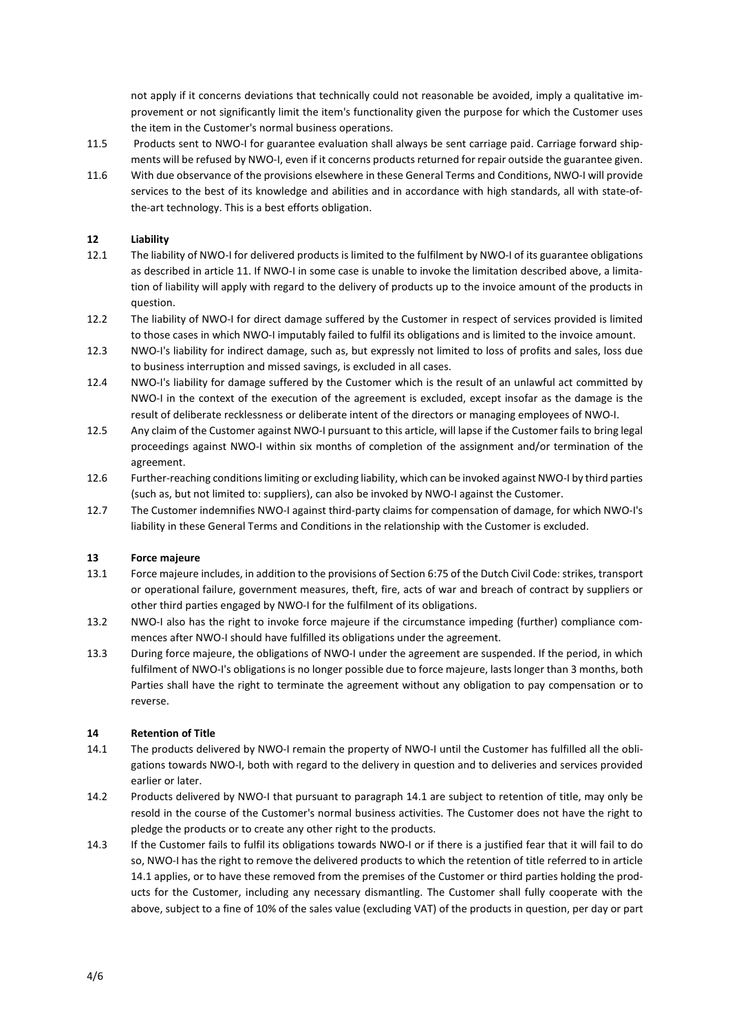not apply if it concerns deviations that technically could not reasonable be avoided, imply a qualitative improvement or not significantly limit the item's functionality given the purpose for which the Customer uses the item in the Customer's normal business operations.

- 11.5 Products sent to NWO-I for guarantee evaluation shall always be sent carriage paid. Carriage forward shipments will be refused by NWO-I, even if it concerns products returned for repair outside the guarantee given.
- 11.6 With due observance of the provisions elsewhere in these General Terms and Conditions, NWO-I will provide services to the best of its knowledge and abilities and in accordance with high standards, all with state-ofthe-art technology. This is a best efforts obligation.

## **12 Liability**

- 12.1 The liability of NWO-I for delivered products is limited to the fulfilment by NWO-I of its guarantee obligations as described in article 11. If NWO-I in some case is unable to invoke the limitation described above, a limitation of liability will apply with regard to the delivery of products up to the invoice amount of the products in question.
- 12.2 The liability of NWO-I for direct damage suffered by the Customer in respect of services provided is limited to those cases in which NWO-I imputably failed to fulfil its obligations and is limited to the invoice amount.
- 12.3 NWO-I's liability for indirect damage, such as, but expressly not limited to loss of profits and sales, loss due to business interruption and missed savings, is excluded in all cases.
- 12.4 NWO-I's liability for damage suffered by the Customer which is the result of an unlawful act committed by NWO-I in the context of the execution of the agreement is excluded, except insofar as the damage is the result of deliberate recklessness or deliberate intent of the directors or managing employees of NWO-I.
- 12.5 Any claim of the Customer against NWO-I pursuant to this article, will lapse if the Customer fails to bring legal proceedings against NWO-I within six months of completion of the assignment and/or termination of the agreement.
- 12.6 Further-reaching conditions limiting or excluding liability, which can be invoked against NWO-I by third parties (such as, but not limited to: suppliers), can also be invoked by NWO-I against the Customer.
- 12.7 The Customer indemnifies NWO-I against third-party claims for compensation of damage, for which NWO-I's liability in these General Terms and Conditions in the relationship with the Customer is excluded.

#### **13 Force majeure**

- 13.1 Force majeure includes, in addition to the provisions of Section 6:75 of the Dutch Civil Code: strikes, transport or operational failure, government measures, theft, fire, acts of war and breach of contract by suppliers or other third parties engaged by NWO-I for the fulfilment of its obligations.
- 13.2 NWO-I also has the right to invoke force majeure if the circumstance impeding (further) compliance commences after NWO-I should have fulfilled its obligations under the agreement.
- 13.3 During force majeure, the obligations of NWO-I under the agreement are suspended. If the period, in which fulfilment of NWO-I's obligations is no longer possible due to force majeure, lasts longer than 3 months, both Parties shall have the right to terminate the agreement without any obligation to pay compensation or to reverse.

## **14 Retention of Title**

- 14.1 The products delivered by NWO-I remain the property of NWO-I until the Customer has fulfilled all the obligations towards NWO-I, both with regard to the delivery in question and to deliveries and services provided earlier or later.
- 14.2 Products delivered by NWO-I that pursuant to paragraph 14.1 are subject to retention of title, may only be resold in the course of the Customer's normal business activities. The Customer does not have the right to pledge the products or to create any other right to the products.
- 14.3 If the Customer fails to fulfil its obligations towards NWO-I or if there is a justified fear that it will fail to do so, NWO-I has the right to remove the delivered products to which the retention of title referred to in article 14.1 applies, or to have these removed from the premises of the Customer or third parties holding the products for the Customer, including any necessary dismantling. The Customer shall fully cooperate with the above, subject to a fine of 10% of the sales value (excluding VAT) of the products in question, per day or part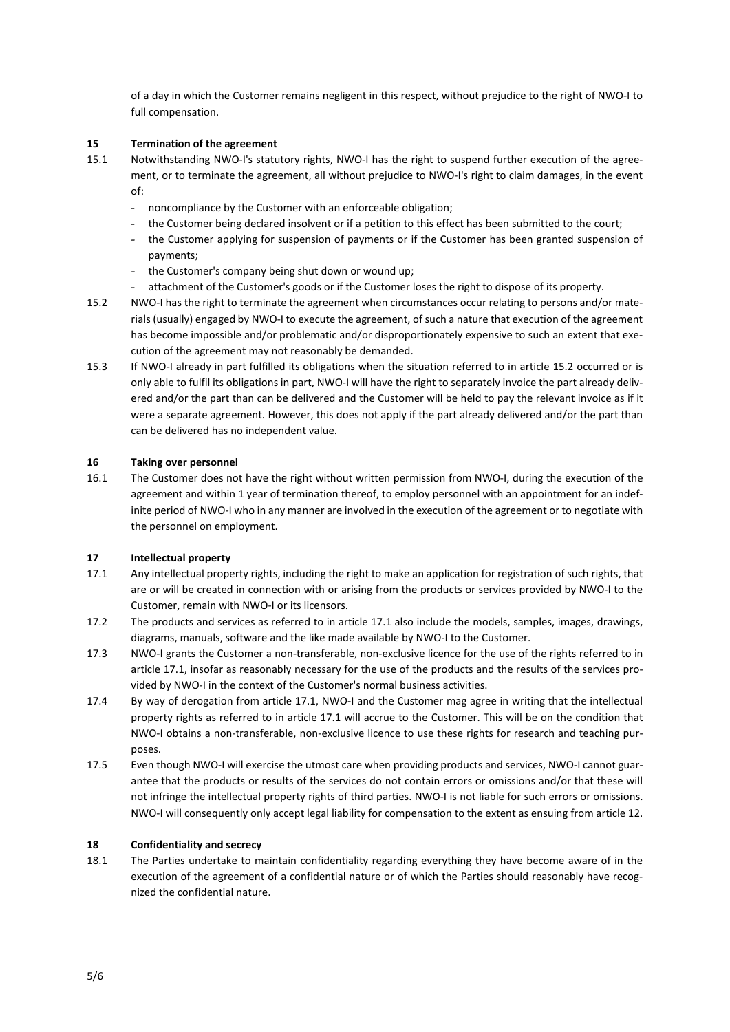of a day in which the Customer remains negligent in this respect, without prejudice to the right of NWO-I to full compensation.

#### **15 Termination of the agreement**

- 15.1 Notwithstanding NWO-I's statutory rights, NWO-I has the right to suspend further execution of the agreement, or to terminate the agreement, all without prejudice to NWO-I's right to claim damages, in the event of:
	- noncompliance by the Customer with an enforceable obligation;
	- the Customer being declared insolvent or if a petition to this effect has been submitted to the court;
	- the Customer applying for suspension of payments or if the Customer has been granted suspension of payments;
	- the Customer's company being shut down or wound up;
	- attachment of the Customer's goods or if the Customer loses the right to dispose of its property.
- 15.2 NWO-I has the right to terminate the agreement when circumstances occur relating to persons and/or materials (usually) engaged by NWO-I to execute the agreement, of such a nature that execution of the agreement has become impossible and/or problematic and/or disproportionately expensive to such an extent that execution of the agreement may not reasonably be demanded.
- 15.3 If NWO-I already in part fulfilled its obligations when the situation referred to in article 15.2 occurred or is only able to fulfil its obligations in part, NWO-I will have the right to separately invoice the part already delivered and/or the part than can be delivered and the Customer will be held to pay the relevant invoice as if it were a separate agreement. However, this does not apply if the part already delivered and/or the part than can be delivered has no independent value.

## **16 Taking over personnel**

16.1 The Customer does not have the right without written permission from NWO-I, during the execution of the agreement and within 1 year of termination thereof, to employ personnel with an appointment for an indefinite period of NWO-I who in any manner are involved in the execution of the agreement or to negotiate with the personnel on employment.

# **17 Intellectual property**

- 17.1 Any intellectual property rights, including the right to make an application for registration of such rights, that are or will be created in connection with or arising from the products or services provided by NWO-I to the Customer, remain with NWO-I or its licensors.
- 17.2 The products and services as referred to in article 17.1 also include the models, samples, images, drawings, diagrams, manuals, software and the like made available by NWO-I to the Customer.
- 17.3 NWO-I grants the Customer a non-transferable, non-exclusive licence for the use of the rights referred to in article 17.1, insofar as reasonably necessary for the use of the products and the results of the services provided by NWO-I in the context of the Customer's normal business activities.
- 17.4 By way of derogation from article 17.1, NWO-I and the Customer mag agree in writing that the intellectual property rights as referred to in article 17.1 will accrue to the Customer. This will be on the condition that NWO-I obtains a non-transferable, non-exclusive licence to use these rights for research and teaching purposes.
- 17.5 Even though NWO-I will exercise the utmost care when providing products and services, NWO-I cannot guarantee that the products or results of the services do not contain errors or omissions and/or that these will not infringe the intellectual property rights of third parties. NWO-I is not liable for such errors or omissions. NWO-I will consequently only accept legal liability for compensation to the extent as ensuing from article 12.

#### **18 Confidentiality and secrecy**

18.1 The Parties undertake to maintain confidentiality regarding everything they have become aware of in the execution of the agreement of a confidential nature or of which the Parties should reasonably have recognized the confidential nature.